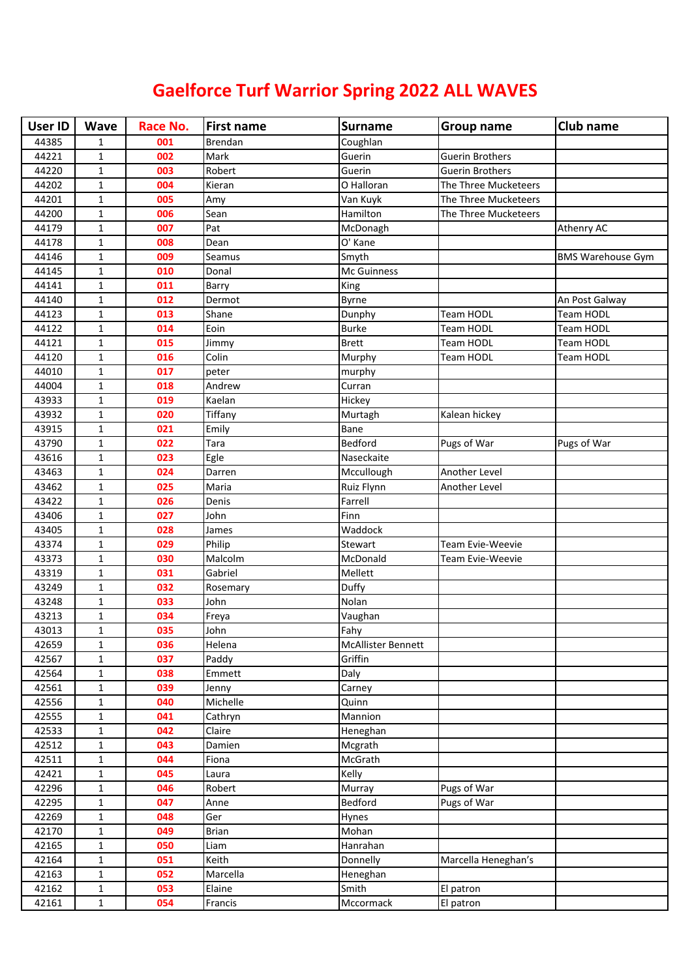## **Gaelforce Turf Warrior Spring 2022 ALL WAVES**

| <b>User ID</b> | <b>Wave</b>  | Race No. | <b>First name</b> | <b>Surname</b>            | <b>Group name</b>      | <b>Club name</b>         |
|----------------|--------------|----------|-------------------|---------------------------|------------------------|--------------------------|
| 44385          | $\mathbf{1}$ | 001      | Brendan           | Coughlan                  |                        |                          |
| 44221          | $\mathbf{1}$ | 002      | Mark              | Guerin                    | <b>Guerin Brothers</b> |                          |
| 44220          | $\mathbf{1}$ | 003      | Robert            | Guerin                    | <b>Guerin Brothers</b> |                          |
| 44202          | $\mathbf{1}$ | 004      | Kieran            | O Halloran                | The Three Mucketeers   |                          |
| 44201          | $\mathbf{1}$ | 005      | Amy               | Van Kuyk                  | The Three Mucketeers   |                          |
| 44200          | $\mathbf{1}$ | 006      | Sean              | Hamilton                  | The Three Mucketeers   |                          |
| 44179          | $\mathbf{1}$ | 007      | Pat               | McDonagh                  |                        | Athenry AC               |
| 44178          | $\mathbf{1}$ | 008      | Dean              | O' Kane                   |                        |                          |
| 44146          | 1            | 009      | Seamus            | Smyth                     |                        | <b>BMS Warehouse Gym</b> |
| 44145          | 1            | 010      | Donal             | Mc Guinness               |                        |                          |
| 44141          | $\mathbf{1}$ | 011      | Barry             | King                      |                        |                          |
| 44140          | $\mathbf{1}$ | 012      | Dermot            | <b>Byrne</b>              |                        | An Post Galway           |
| 44123          | $\mathbf 1$  | 013      | Shane             | Dunphy                    | <b>Team HODL</b>       | <b>Team HODL</b>         |
| 44122          | $\mathbf{1}$ | 014      | Eoin              | <b>Burke</b>              | <b>Team HODL</b>       | Team HODL                |
| 44121          | $\mathbf{1}$ | 015      | Jimmy             | <b>Brett</b>              | <b>Team HODL</b>       | Team HODL                |
| 44120          | $\mathbf{1}$ | 016      | Colin             | Murphy                    | Team HODL              | Team HODL                |
| 44010          | $\mathbf{1}$ | 017      | peter             | murphy                    |                        |                          |
| 44004          | $\mathbf{1}$ | 018      | Andrew            | Curran                    |                        |                          |
| 43933          | $\mathbf{1}$ | 019      | Kaelan            | Hickey                    |                        |                          |
| 43932          | $\mathbf{1}$ | 020      | Tiffany           | Murtagh                   | Kalean hickey          |                          |
| 43915          | $\mathbf{1}$ | 021      | Emily             | Bane                      |                        |                          |
| 43790          | $\mathbf{1}$ | 022      | Tara              | Bedford                   | Pugs of War            | Pugs of War              |
| 43616          | $\mathbf{1}$ | 023      | Egle              | Naseckaite                |                        |                          |
| 43463          | $\mathbf{1}$ | 024      | Darren            | Mccullough                | Another Level          |                          |
| 43462          | 1            | 025      | Maria             | Ruiz Flynn                | Another Level          |                          |
| 43422          | 1            | 026      | Denis             | Farrell                   |                        |                          |
| 43406          | $\mathbf{1}$ | 027      | John              | Finn                      |                        |                          |
| 43405          | $\mathbf{1}$ | 028      | James             | Waddock                   |                        |                          |
| 43374          | $\mathbf 1$  | 029      | Philip            | Stewart                   | Team Evie-Weevie       |                          |
| 43373          | $\mathbf{1}$ | 030      | Malcolm           | McDonald                  | Team Evie-Weevie       |                          |
| 43319          | $\mathbf{1}$ | 031      | Gabriel           | Mellett                   |                        |                          |
| 43249          | $\mathbf{1}$ | 032      | Rosemary          | Duffy                     |                        |                          |
| 43248          | $\mathbf{1}$ | 033      | John              | Nolan                     |                        |                          |
| 43213          | $\mathbf{1}$ | 034      | Freya             | Vaughan                   |                        |                          |
| 43013          | $\mathbf{1}$ | 035      | John              | Fahy                      |                        |                          |
| 42659          | 1            | 036      | Helena            | <b>McAllister Bennett</b> |                        |                          |
| 42567          | $\mathbf{1}$ | 037      | Paddy             | Griffin                   |                        |                          |
| 42564          | $\mathbf{1}$ | 038      | Emmett            | Daly                      |                        |                          |
| 42561          | $\mathbf{1}$ | 039      | Jenny             | Carney                    |                        |                          |
| 42556          | $\mathbf{1}$ | 040      | Michelle          | Quinn                     |                        |                          |
| 42555          | $\mathbf{1}$ | 041      | Cathryn           | Mannion                   |                        |                          |
| 42533          | $\mathbf{1}$ | 042      | Claire            | Heneghan                  |                        |                          |
| 42512          | $\mathbf{1}$ | 043      | Damien            | Mcgrath                   |                        |                          |
| 42511          | $\mathbf{1}$ | 044      | Fiona             | McGrath                   |                        |                          |
| 42421          | $\mathbf{1}$ | 045      | Laura             | Kelly                     |                        |                          |
| 42296          | $\mathbf{1}$ | 046      | Robert            | Murray                    | Pugs of War            |                          |
| 42295          | $\mathbf{1}$ | 047      | Anne              | Bedford                   | Pugs of War            |                          |
| 42269          | $\mathbf{1}$ | 048      | Ger               | Hynes                     |                        |                          |
| 42170          | $\mathbf{1}$ | 049      | <b>Brian</b>      | Mohan                     |                        |                          |
| 42165          | $\mathbf{1}$ | 050      | Liam              | Hanrahan                  |                        |                          |
| 42164          | $\mathbf{1}$ | 051      | Keith             | Donnelly                  | Marcella Heneghan's    |                          |
| 42163          | $\mathbf{1}$ | 052      | Marcella          | Heneghan                  |                        |                          |
| 42162          | $\mathbf{1}$ | 053      | Elaine            | Smith                     | El patron              |                          |
| 42161          | $\mathbf 1$  | 054      | Francis           | Mccormack                 | El patron              |                          |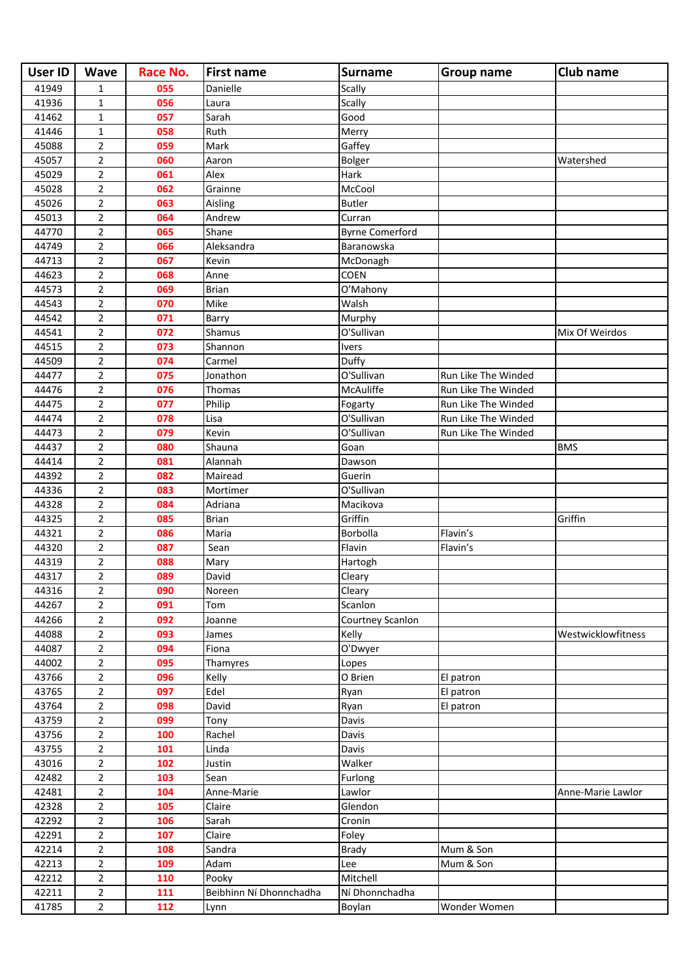| <b>User ID</b> | <b>Wave</b>    | Race No. | <b>First name</b>       | <b>Surname</b>         | <b>Group name</b>   | Club name          |
|----------------|----------------|----------|-------------------------|------------------------|---------------------|--------------------|
| 41949          | 1              | 055      | Danielle                | Scally                 |                     |                    |
| 41936          | $\mathbf{1}$   | 056      | Laura                   | Scally                 |                     |                    |
| 41462          | $\mathbf{1}$   | 057      | Sarah                   | Good                   |                     |                    |
| 41446          | $\mathbf{1}$   | 058      | Ruth                    | Merry                  |                     |                    |
| 45088          | $\overline{2}$ | 059      | Mark                    | Gaffey                 |                     |                    |
| 45057          | $\overline{2}$ | 060      | Aaron                   | Bolger                 |                     | Watershed          |
| 45029          | $\overline{2}$ | 061      | Alex                    | Hark                   |                     |                    |
| 45028          | $\overline{2}$ | 062      | Grainne                 | McCool                 |                     |                    |
| 45026          | $\overline{2}$ | 063      | Aisling                 | <b>Butler</b>          |                     |                    |
| 45013          | $\overline{2}$ | 064      | Andrew                  | Curran                 |                     |                    |
| 44770          | $\overline{2}$ | 065      | Shane                   | <b>Byrne Comerford</b> |                     |                    |
| 44749          | $\overline{2}$ | 066      | Aleksandra              | Baranowska             |                     |                    |
| 44713          | 2              | 067      | Kevin                   | McDonagh               |                     |                    |
| 44623          | $\overline{2}$ | 068      | Anne                    | COEN                   |                     |                    |
| 44573          | $\overline{2}$ | 069      | <b>Brian</b>            | O'Mahony               |                     |                    |
| 44543          | $\overline{2}$ | 070      | Mike                    | Walsh                  |                     |                    |
| 44542          | $\overline{2}$ | 071      | Barry                   | Murphy                 |                     |                    |
| 44541          | $\overline{2}$ | 072      | Shamus                  | O'Sullivan             |                     | Mix Of Weirdos     |
| 44515          | $\overline{2}$ | 073      | Shannon                 | <b>Ivers</b>           |                     |                    |
| 44509          | $\overline{2}$ | 074      | Carmel                  | Duffy                  |                     |                    |
| 44477          | $\overline{2}$ | 075      | Jonathon                | O'Sullivan             | Run Like The Winded |                    |
| 44476          | $\overline{2}$ | 076      | Thomas                  | McAuliffe              | Run Like The Winded |                    |
| 44475          | $\overline{2}$ | 077      | Philip                  | Fogarty                | Run Like The Winded |                    |
| 44474          | $\overline{2}$ | 078      | Lisa                    | O'Sullivan             | Run Like The Winded |                    |
| 44473          | $\overline{2}$ | 079      | Kevin                   | O'Sullivan             | Run Like The Winded |                    |
| 44437          | $\overline{2}$ | 080      | Shauna                  | Goan                   |                     | <b>BMS</b>         |
| 44414          | $\overline{2}$ | 081      | Alannah                 | Dawson                 |                     |                    |
| 44392          | $\overline{2}$ | 082      | Mairead                 | Guerin                 |                     |                    |
| 44336          | $\overline{2}$ | 083      | Mortimer                | O'Sullivan             |                     |                    |
| 44328          | $\overline{2}$ | 084      | Adriana                 | Macikova               |                     |                    |
| 44325          | $\overline{2}$ | 085      | <b>Brian</b>            | Griffin                |                     | Griffin            |
| 44321          | $\overline{2}$ | 086      | Maria                   | Borbolla               | Flavin's            |                    |
| 44320          | $\overline{2}$ | 087      | Sean                    | Flavin                 | Flavin's            |                    |
| 44319          | $\overline{2}$ | 088      | Mary                    | Hartogh                |                     |                    |
| 44317          | $\overline{2}$ | 089      | David                   | Cleary                 |                     |                    |
| 44316          | $\overline{2}$ | 090      | Noreen                  | Cleary                 |                     |                    |
| 44267          | $\overline{2}$ | 091      | Tom                     | Scanlon                |                     |                    |
| 44266          | $\overline{2}$ | 092      | Joanne                  | Courtney Scanlon       |                     |                    |
| 44088          | $\overline{2}$ | 093      | James                   | Kelly                  |                     | Westwicklowfitness |
| 44087          | $\overline{2}$ | 094      | Fiona                   | O'Dwyer                |                     |                    |
| 44002          | $\overline{2}$ | 095      | Thamyres                | Lopes                  |                     |                    |
| 43766          | $\overline{2}$ | 096      | Kelly                   | O Brien                | El patron           |                    |
| 43765          | $\overline{2}$ | 097      | Edel                    | Ryan                   | El patron           |                    |
| 43764          | $\overline{2}$ | 098      | David                   | Ryan                   | El patron           |                    |
| 43759          | $\overline{2}$ | 099      | Tony                    | Davis                  |                     |                    |
| 43756          | $\overline{2}$ | 100      | Rachel                  | Davis                  |                     |                    |
| 43755          | $\overline{2}$ | 101      | Linda                   | Davis                  |                     |                    |
| 43016          | $\overline{2}$ | 102      | Justin                  | Walker                 |                     |                    |
| 42482          | $\overline{2}$ | 103      | Sean                    | Furlong                |                     |                    |
| 42481          | $\overline{2}$ | 104      | Anne-Marie              | Lawlor                 |                     | Anne-Marie Lawlor  |
| 42328          | $\overline{2}$ | 105      | Claire                  | Glendon                |                     |                    |
| 42292          | $\overline{2}$ | 106      | Sarah                   | Cronin                 |                     |                    |
| 42291          | $\overline{2}$ | 107      | Claire                  | Foley                  |                     |                    |
| 42214          | $\overline{2}$ | 108      | Sandra                  | <b>Brady</b>           | Mum & Son           |                    |
| 42213          | $\overline{2}$ | 109      | Adam                    | Lee                    | Mum & Son           |                    |
| 42212          | $\overline{2}$ | 110      | Pooky                   | Mitchell               |                     |                    |
| 42211          | $\overline{2}$ | 111      | Beibhinn Ní Dhonnchadha | Ní Dhonnchadha         |                     |                    |
| 41785          | $\overline{2}$ | 112      | Lynn                    | Boylan                 | Wonder Women        |                    |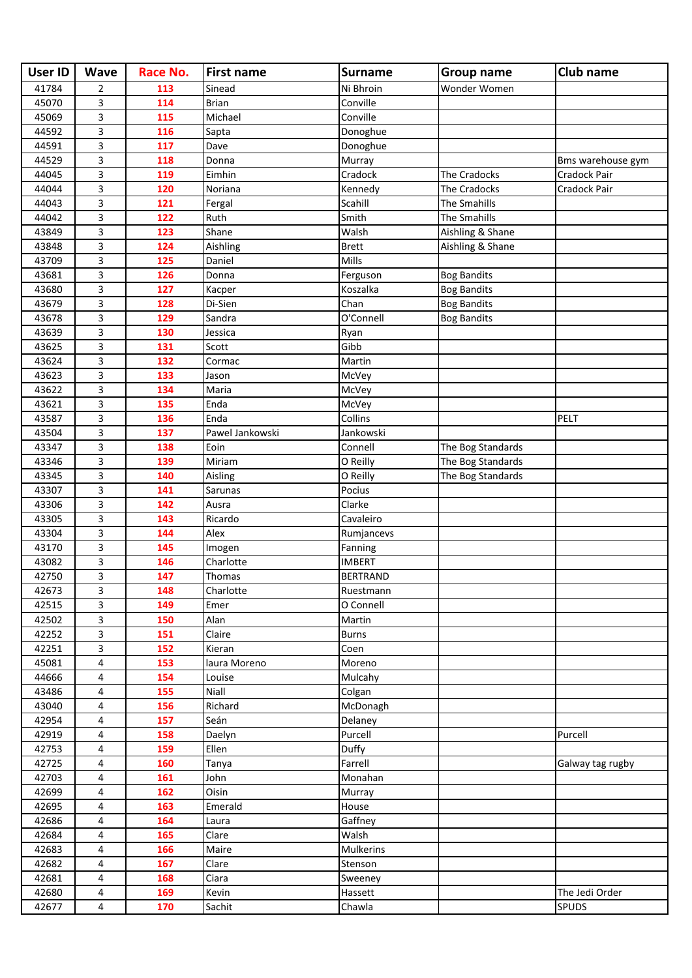| <b>User ID</b> | <b>Wave</b>             | Race No. | <b>First name</b> | <b>Surname</b>   | <b>Group name</b>  | Club name         |
|----------------|-------------------------|----------|-------------------|------------------|--------------------|-------------------|
| 41784          | $\overline{2}$          | 113      | Sinead            | Ni Bhroin        | Wonder Women       |                   |
| 45070          | 3                       | 114      | <b>Brian</b>      | Conville         |                    |                   |
| 45069          | 3                       | 115      | Michael           | Conville         |                    |                   |
| 44592          | 3                       | 116      | Sapta             | Donoghue         |                    |                   |
| 44591          | 3                       | 117      | Dave              | Donoghue         |                    |                   |
| 44529          | 3                       | 118      | Donna             | Murray           |                    | Bms warehouse gym |
| 44045          | 3                       | 119      | Eimhin            | Cradock          | The Cradocks       | Cradock Pair      |
| 44044          | 3                       | 120      | Noriana           | Kennedy          | The Cradocks       | Cradock Pair      |
| 44043          | 3                       | 121      | Fergal            | Scahill          | The Smahills       |                   |
| 44042          | 3                       | 122      | Ruth              | Smith            | The Smahills       |                   |
| 43849          | 3                       | 123      | Shane             | Walsh            | Aishling & Shane   |                   |
| 43848          | 3                       | 124      | Aishling          | <b>Brett</b>     | Aishling & Shane   |                   |
| 43709          | 3                       | 125      | Daniel            | Mills            |                    |                   |
| 43681          | 3                       | 126      | Donna             | Ferguson         | <b>Bog Bandits</b> |                   |
| 43680          | 3                       | 127      | Kacper            | Koszalka         | <b>Bog Bandits</b> |                   |
| 43679          | 3                       | 128      | Di-Sien           | Chan             | <b>Bog Bandits</b> |                   |
| 43678          | 3                       | 129      | Sandra            | O'Connell        | <b>Bog Bandits</b> |                   |
| 43639          | 3                       | 130      | Jessica           | Ryan             |                    |                   |
| 43625          | 3                       | 131      | Scott             | Gibb             |                    |                   |
| 43624          | 3                       | 132      | Cormac            | Martin           |                    |                   |
| 43623          | 3                       | 133      | Jason             | McVey            |                    |                   |
| 43622          | 3                       | 134      | Maria             | McVey            |                    |                   |
| 43621          | 3                       | 135      | Enda              | McVey            |                    |                   |
| 43587          | 3                       | 136      | Enda              | Collins          |                    | PELT              |
| 43504          | 3                       | 137      | Pawel Jankowski   | Jankowski        |                    |                   |
| 43347          | 3                       | 138      | Eoin              | Connell          | The Bog Standards  |                   |
| 43346          | 3                       | 139      | Miriam            | O Reilly         | The Bog Standards  |                   |
| 43345          | 3                       | 140      | Aisling           | O Reilly         | The Bog Standards  |                   |
| 43307          | 3                       | 141      | Sarunas           | Pocius           |                    |                   |
| 43306          | 3                       | 142      | Ausra             | Clarke           |                    |                   |
| 43305          | 3                       | 143      | Ricardo           | Cavaleiro        |                    |                   |
| 43304          | 3                       | 144      | Alex              | Rumjancevs       |                    |                   |
| 43170          | 3                       | 145      | Imogen            | Fanning          |                    |                   |
| 43082          | 3                       | 146      | Charlotte         | <b>IMBERT</b>    |                    |                   |
| 42750          | 3                       | 147      | Thomas            | <b>BERTRAND</b>  |                    |                   |
| 42673          | 3                       | 148      | Charlotte         | Ruestmann        |                    |                   |
| 42515          | 3                       | 149      | Emer              | O Connell        |                    |                   |
| 42502          | 3                       | 150      | Alan              | Martin           |                    |                   |
| 42252          | 3                       | 151      | Claire            | <b>Burns</b>     |                    |                   |
| 42251          | $\overline{\mathbf{3}}$ | 152      | Kieran            | Coen             |                    |                   |
| 45081          | 4                       | 153      | laura Moreno      | Moreno           |                    |                   |
| 44666          | 4                       | 154      | Louise            | Mulcahy          |                    |                   |
| 43486          | 4                       | 155      | Niall             | Colgan           |                    |                   |
| 43040          | 4                       | 156      | Richard           | McDonagh         |                    |                   |
| 42954          | 4                       | 157      | Seán              | Delaney          |                    |                   |
| 42919          | 4                       | 158      | Daelyn            | Purcell          |                    | Purcell           |
| 42753          | 4                       | 159      | Ellen             | Duffy            |                    |                   |
| 42725          | 4                       | 160      | Tanya             | Farrell          |                    | Galway tag rugby  |
| 42703          | 4                       | 161      | John              | Monahan          |                    |                   |
| 42699          | 4                       | 162      | Oisin             | Murray           |                    |                   |
| 42695          | 4                       | 163      | Emerald           | House            |                    |                   |
| 42686          | 4                       | 164      | Laura             | Gaffney          |                    |                   |
| 42684          | 4                       | 165      | Clare             | Walsh            |                    |                   |
| 42683          | 4                       | 166      | Maire             | <b>Mulkerins</b> |                    |                   |
| 42682          | 4                       | 167      | Clare             | Stenson          |                    |                   |
| 42681          | 4                       | 168      | Ciara             | Sweeney          |                    |                   |
| 42680          | 4                       | 169      | Kevin             | Hassett          |                    | The Jedi Order    |
| 42677          | 4                       | 170      | Sachit            | Chawla           |                    | SPUDS             |
|                |                         |          |                   |                  |                    |                   |